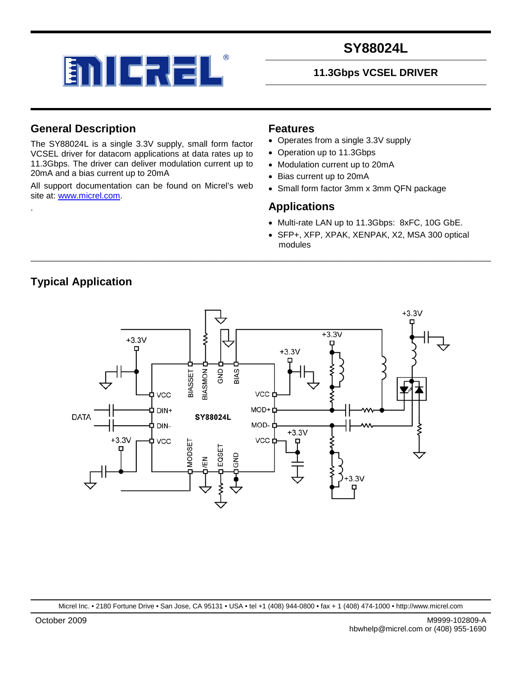

### **11.3Gbps VCSEL DRIVER**

### **General Description**

The SY88024L is a single 3.3V supply, small form factor VCSEL driver for datacom applications at data rates up to 11.3Gbps. The driver can deliver modulation current up to 20mA and a bias current up to 20mA

All support documentation can be found on Micrel's web site at: [www.micrel.com.](http://www.micrel.com/)

### **Features**

- Operates from a single 3.3V supply
- Operation up to 11.3Gbps
- Modulation current up to 20mA
- Bias current up to 20mA
- Small form factor 3mm x 3mm QFN package

### **Applications**

- Multi-rate LAN up to 11.3Gbps: 8xFC, 10G GbE.
- SFP+, XFP, XPAK, XENPAK, X2, MSA 300 optical modules



\_\_\_\_\_\_\_\_\_\_\_\_\_\_\_\_\_\_\_\_\_\_\_\_\_\_\_\_\_\_\_\_\_\_\_\_\_\_\_\_\_\_\_\_\_\_\_\_\_\_\_\_\_\_\_\_\_\_\_\_\_\_\_\_\_\_\_\_\_\_\_\_\_\_\_\_\_\_\_\_\_\_\_\_\_\_\_\_\_\_

**Typical Application**

.

Micrel Inc. • 2180 Fortune Drive • San Jose, CA 95131 • USA • tel +1 (408) 944-0800 • fax + 1 (408) 474-1000 • http://www.micrel.com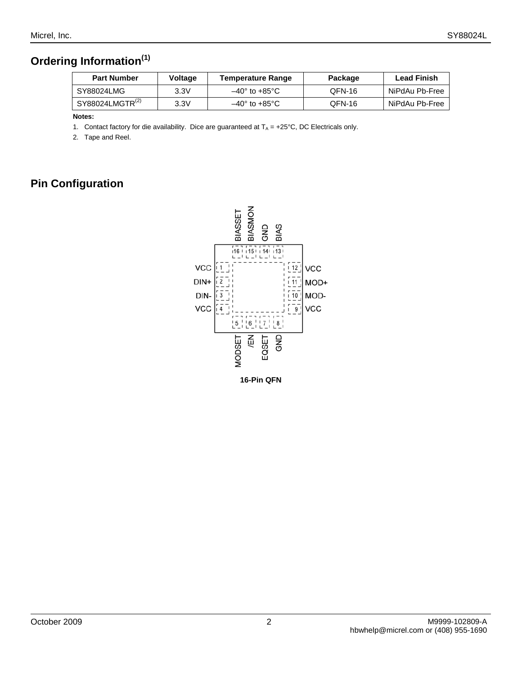# **Ordering Information(1)**

| <b>Part Number</b>          | Voltage | <b>Temperature Range</b>     | Package | Lead Finish    |
|-----------------------------|---------|------------------------------|---------|----------------|
| SY88024LMG                  | 3.3V    | $-40^\circ$ to $+85^\circ$ C | QFN-16  | NiPdAu Pb-Free |
| SY88024LMGTR <sup>(2)</sup> | 3.3V    | –40° to +85°C                | QFN-16  | NiPdAu Pb-Free |

**Notes:**

1. Contact factory for die availability. Dice are guaranteed at  $T_A = +25^{\circ}C$ , DC Electricals only.

2. Tape and Reel.

# **Pin Configuration**

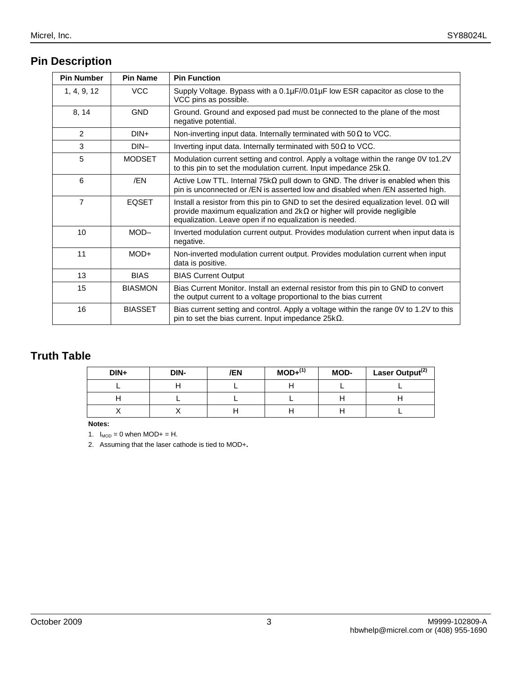# **Pin Description**

| <b>Pin Number</b> | <b>Pin Name</b> | <b>Pin Function</b>                                                                                                                                                                                                                      |
|-------------------|-----------------|------------------------------------------------------------------------------------------------------------------------------------------------------------------------------------------------------------------------------------------|
| 1, 4, 9, 12       | <b>VCC</b>      | Supply Voltage. Bypass with a $0.1\mu$ F//0.01 $\mu$ F low ESR capacitor as close to the<br>VCC pins as possible.                                                                                                                        |
| 8, 14             | <b>GND</b>      | Ground. Ground and exposed pad must be connected to the plane of the most<br>negative potential.                                                                                                                                         |
| 2                 | $DIN+$          | Non-inverting input data. Internally terminated with $50\Omega$ to VCC.                                                                                                                                                                  |
| 3                 | $DIN-$          | Inverting input data. Internally terminated with 50Ω to VCC.                                                                                                                                                                             |
| 5                 | <b>MODSET</b>   | Modulation current setting and control. Apply a voltage within the range 0V to1.2V<br>to this pin to set the modulation current. Input impedance $25k\Omega$ .                                                                           |
| 6                 | /EN             | Active Low TTL. Internal 75k $\Omega$ pull down to GND. The driver is enabled when this<br>pin is unconnected or /EN is asserted low and disabled when /EN asserted high.                                                                |
| $\overline{7}$    | <b>EQSET</b>    | Install a resistor from this pin to GND to set the desired equalization level. $0\Omega$ will<br>provide maximum equalization and $2k\Omega$ or higher will provide negligible<br>equalization. Leave open if no equalization is needed. |
| 10                | $MOD-$          | Inverted modulation current output. Provides modulation current when input data is<br>negative.                                                                                                                                          |
| 11                | $MOD+$          | Non-inverted modulation current output. Provides modulation current when input<br>data is positive.                                                                                                                                      |
| 13                | <b>BIAS</b>     | <b>BIAS Current Output</b>                                                                                                                                                                                                               |
| 15                | <b>BIASMON</b>  | Bias Current Monitor. Install an external resistor from this pin to GND to convert<br>the output current to a voltage proportional to the bias current                                                                                   |
| 16                | <b>BIASSET</b>  | Bias current setting and control. Apply a voltage within the range 0V to 1.2V to this<br>pin to set the bias current. Input impedance $25k\Omega$ .                                                                                      |

# **Truth Table**

| DIN+ | DIN- | /EN | $MOD+^{(1)}$ | MOD- | Laser Output <sup>(2)</sup> |
|------|------|-----|--------------|------|-----------------------------|
|      |      |     |              |      |                             |
|      |      |     |              |      |                             |
|      |      |     |              |      |                             |

**Notes:**

1.  $I_{MOD} = 0$  when  $MOD + = H$ .

2. Assuming that the laser cathode is tied to MOD+**.**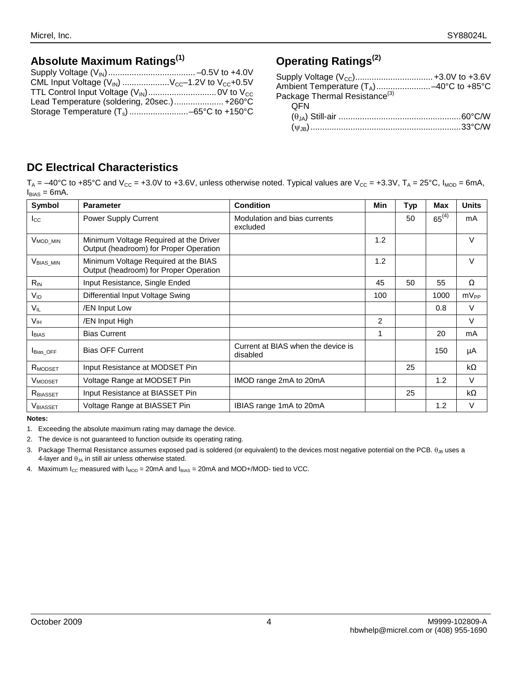# **Absolute Maximum Ratings(1)**

| CML Input Voltage $(V_{\text{IN}})$ $V_{\text{CC}}$ -1.2V to $V_{\text{CC}}$ +0.5V |  |
|------------------------------------------------------------------------------------|--|
|                                                                                    |  |
| Lead Temperature (soldering, 20sec.) +260°C                                        |  |
|                                                                                    |  |

# **Operating Ratings(2)**

| Ambient Temperature (T <sub>A</sub> )-40°C to +85°C<br>Package Thermal Resistance <sup>(3)</sup> |  |
|--------------------------------------------------------------------------------------------------|--|
|                                                                                                  |  |
| OFN                                                                                              |  |
|                                                                                                  |  |
|                                                                                                  |  |

## **DC Electrical Characteristics**

 $T_A = -40^{\circ}$ C to +85°C and V<sub>cc</sub> = +3.0V to +3.6V, unless otherwise noted. Typical values are V<sub>cc</sub> = +3.3V, T<sub>A</sub> = 25°C, I<sub>MOD</sub> = 6mA,  $I_{BIAS} = 6mA$ .

| Symbol               | <b>Parameter</b>                                                                 | <b>Condition</b>                               | Min            | Typ | Max        | <b>Units</b> |
|----------------------|----------------------------------------------------------------------------------|------------------------------------------------|----------------|-----|------------|--------------|
| $_{\rm lcc}$         | <b>Power Supply Current</b>                                                      | Modulation and bias currents<br>excluded       |                | 50  | $65^{(4)}$ | mA           |
| V <sub>MOD_MIN</sub> | Minimum Voltage Required at the Driver<br>Output (headroom) for Proper Operation |                                                | 1.2            |     |            | V            |
| $VBIAS_MIN$          | Minimum Voltage Required at the BIAS<br>Output (headroom) for Proper Operation   |                                                | 1.2            |     |            | V            |
| $R_{IN}$             | Input Resistance, Single Ended                                                   |                                                | 45             | 50  | 55         | Ω            |
| V <sub>ID</sub>      | Differential Input Voltage Swing                                                 |                                                | 100            |     | 1000       | $mV_{PP}$    |
| VIL                  | /EN Input Low                                                                    |                                                |                |     | 0.8        | $\vee$       |
| V <sub>IH</sub>      | /EN Input High                                                                   |                                                | $\overline{2}$ |     |            | V            |
| <b>BIAS</b>          | <b>Bias Current</b>                                                              |                                                | 1              |     | 20         | mA           |
| <b>Bias OFF</b>      | <b>Bias OFF Current</b>                                                          | Current at BIAS when the device is<br>disabled |                |     | 150        | μA           |
| R <sub>MODSET</sub>  | Input Resistance at MODSET Pin                                                   |                                                |                | 25  |            | $k\Omega$    |
| V <sub>MODSET</sub>  | Voltage Range at MODSET Pin                                                      | IMOD range 2mA to 20mA                         |                |     | 1.2        | V            |
| R <sub>BIASSET</sub> | Input Resistance at BIASSET Pin                                                  |                                                |                | 25  |            | kΩ           |
| <b>V</b> BIASSET     | Voltage Range at BIASSET Pin                                                     | IBIAS range 1mA to 20mA                        |                |     | 1.2        | V            |

#### **Notes:**

1. Exceeding the absolute maximum rating may damage the device.

2. The device is not guaranteed to function outside its operating rating.

3. Package Thermal Resistance assumes exposed pad is soldered (or equivalent) to the devices most negative potential on the PCB. θ<sub>JB</sub> uses a 4-layer and  $\theta_{JA}$  in still air unless otherwise stated.

4. Maximum  $I_{CC}$  measured with  $I_{MOD} = 20$  mA and  $I_{BIAS} = 20$  mA and MOD+/MOD- tied to VCC.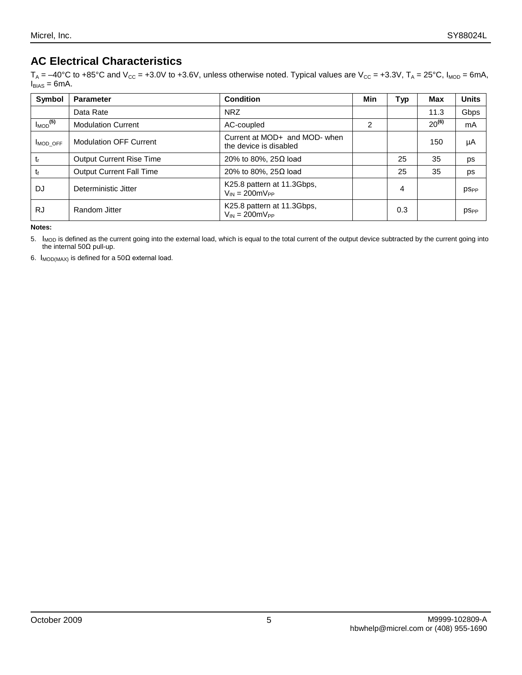# **AC Electrical Characteristics**

 ${\sf T_A}$  = –40°C to +85°C and V $_{\rm CC}$  = +3.0V to +3.6V, unless otherwise noted. Typical values are V $_{\rm CC}$  = +3.3V, T $_{\rm A}$  = 25°C, I<sub>MOD</sub> = 6mA,  $I_{BIAS} = 6mA$ .

| Symbol                   | <b>Parameter</b>                | <b>Condition</b>                                            | Min | Typ | <b>Max</b> | <b>Units</b> |
|--------------------------|---------------------------------|-------------------------------------------------------------|-----|-----|------------|--------------|
|                          | Data Rate                       | <b>NRZ</b>                                                  |     |     | 11.3       | Gbps         |
| $I_{MOD}$ <sup>(5)</sup> | <b>Modulation Current</b>       | AC-coupled                                                  | 2   |     | $20^{(6)}$ | mA           |
| MOD OFF                  | <b>Modulation OFF Current</b>   | Current at MOD+ and MOD- when<br>the device is disabled     |     |     | 150        | μA           |
| tr                       | <b>Output Current Rise Time</b> | 20% to 80%, 25 $\Omega$ load                                |     | 25  | 35         | ps           |
| t                        | <b>Output Current Fall Time</b> | 20% to 80%, 25 $\Omega$ load                                |     | 25  | 35         | ps           |
| DJ                       | Deterministic Jitter            | K25.8 pattern at 11.3Gbps,<br>$V_{IN} = 200 \text{mV}_{PP}$ |     | 4   |            | <b>PSPP</b>  |
| <b>RJ</b>                | Random Jitter                   | K25.8 pattern at 11.3Gbps,<br>$V_{IN} = 200 \text{mV}_{PP}$ |     | 0.3 |            | <b>DSPP</b>  |

**Notes:**

5. I<sub>MOD</sub> is defined as the current going into the external load, which is equal to the total current of the output device subtracted by the current going into the internal 50Ω pull-up.

6.  $I_{\text{MOD(MAX)}}$  is defined for a 50 $\Omega$  external load.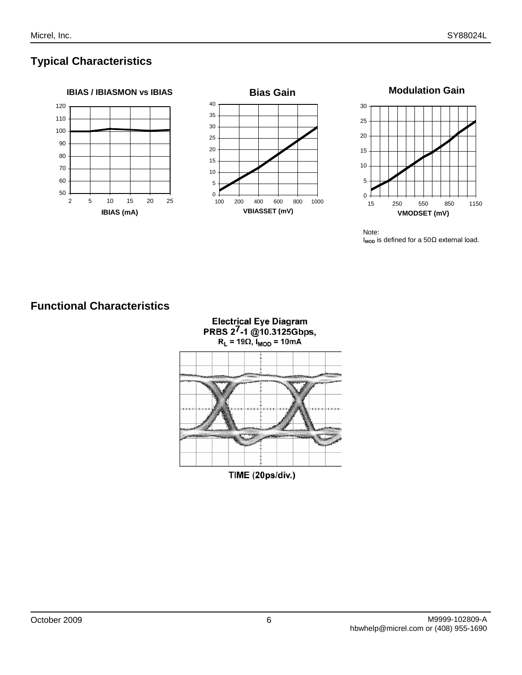# **Typical Characteristics**







# **Functional Characteristics**

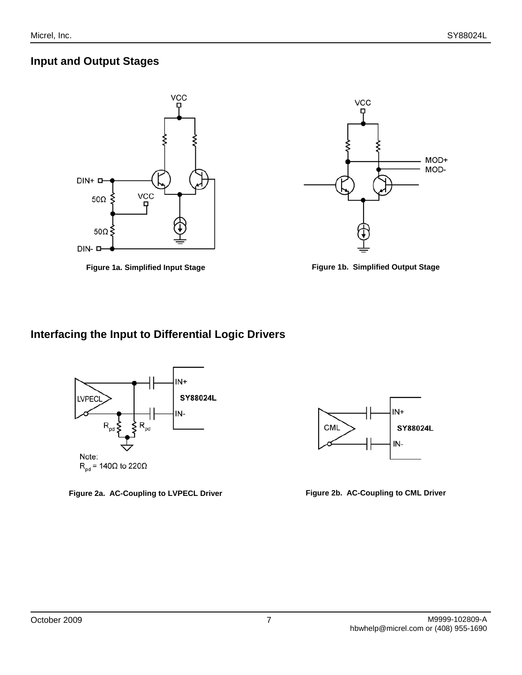## **Input and Output Stages**







## **Interfacing the Input to Differential Logic Drivers**



**Figure 2a. AC-Coupling to LVPECL Driver Figure 2b. AC-Coupling to CML Driver**

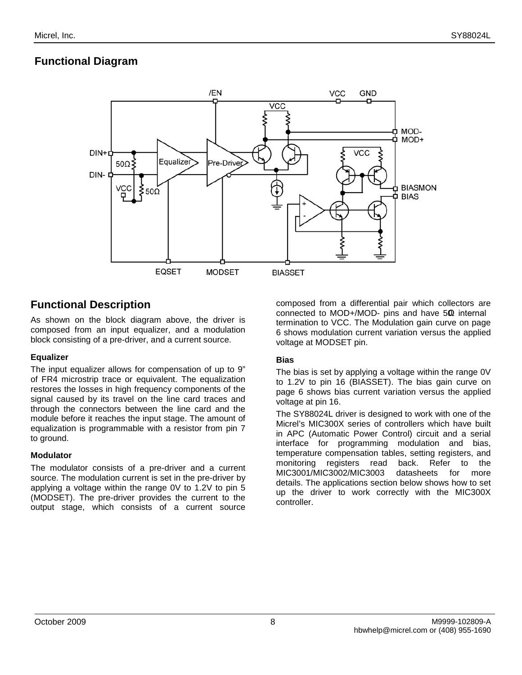## **Functional Diagram**



## **Functional Description**

As shown on the block diagram above, the driver is composed from an input equalizer, and a modulation block consisting of a pre-driver, and a current source.

#### **Equalizer**

The input equalizer allows for compensation of up to 9" of FR4 microstrip trace or equivalent. The equalization restores the losses in high frequency components of the signal caused by its travel on the line card traces and through the connectors between the line card and the module before it reaches the input stage. The amount of equalization is programmable with a resistor from pin 7 to ground.

#### **Modulator**

The modulator consists of a pre-driver and a current source. The modulation current is set in the pre-driver by applying a voltage within the range 0V to 1.2V to pin 5 (MODSET). The pre-driver provides the current to the output stage, which consists of a current source

composed from a differential pair which collectors are connected to MOD+/MOD- pins and have 50Ω internal termination to VCC. The Modulation gain curve on page 6 shows modulation current variation versus the applied voltage at MODSET pin.

### **Bias**

The bias is set by applying a voltage within the range 0V to 1.2V to pin 16 (BIASSET). The bias gain curve on page 6 shows bias current variation versus the applied voltage at pin 16.

The SY88024L driver is designed to work with one of the Micrel's MIC300X series of controllers which have built in APC (Automatic Power Control) circuit and a serial interface for programming modulation and bias, temperature compensation tables, setting registers, and monitoring registers read back. Refer to the<br>MIC3001/MIC3002/MIC3003 datasheets for more MIC3001/MIC3002/MIC3003 datasheets for more details. The applications section below shows how to set up the driver to work correctly with the MIC300X controller.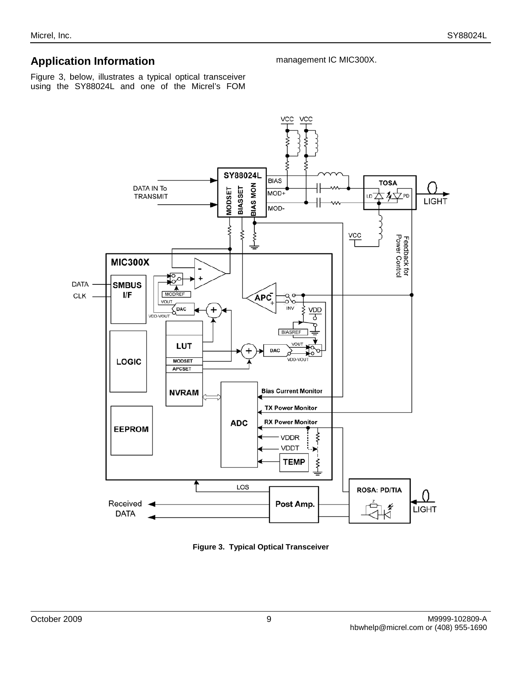## **Application Information**

Figure 3, below, illustrates a typical optical transceiver using the SY88024L and one of the Micrel's FOM



management IC MIC300X.

**Figure 3. Typical Optical Transceiver**